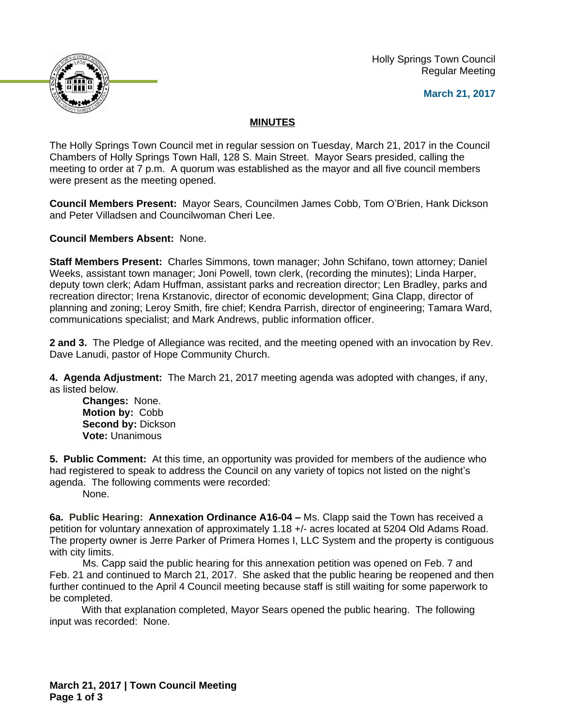Holly Springs Town Council Regular Meeting





## **MINUTES**

The Holly Springs Town Council met in regular session on Tuesday, March 21, 2017 in the Council Chambers of Holly Springs Town Hall, 128 S. Main Street. Mayor Sears presided, calling the meeting to order at 7 p.m. A quorum was established as the mayor and all five council members were present as the meeting opened.

**Council Members Present:** Mayor Sears, Councilmen James Cobb, Tom O'Brien, Hank Dickson and Peter Villadsen and Councilwoman Cheri Lee.

**Council Members Absent:** None.

**Staff Members Present:** Charles Simmons, town manager; John Schifano, town attorney; Daniel Weeks, assistant town manager; Joni Powell, town clerk, (recording the minutes); Linda Harper, deputy town clerk; Adam Huffman, assistant parks and recreation director; Len Bradley, parks and recreation director; Irena Krstanovic, director of economic development; Gina Clapp, director of planning and zoning; Leroy Smith, fire chief; Kendra Parrish, director of engineering; Tamara Ward, communications specialist; and Mark Andrews, public information officer.

**2 and 3.** The Pledge of Allegiance was recited, and the meeting opened with an invocation by Rev. Dave Lanudi, pastor of Hope Community Church.

**4. Agenda Adjustment:** The March 21, 2017 meeting agenda was adopted with changes, if any, as listed below.

**Changes:** None. **Motion by:** Cobb **Second by:** Dickson **Vote:** Unanimous

**5. Public Comment:** At this time, an opportunity was provided for members of the audience who had registered to speak to address the Council on any variety of topics not listed on the night's agenda. The following comments were recorded:

None.

**6a. Public Hearing: Annexation Ordinance A16-04 – Ms. Clapp said the Town has received a** petition for voluntary annexation of approximately 1.18 +/- acres located at 5204 Old Adams Road. The property owner is Jerre Parker of Primera Homes I, LLC System and the property is contiguous with city limits.

Ms. Capp said the public hearing for this annexation petition was opened on Feb. 7 and Feb. 21 and continued to March 21, 2017. She asked that the public hearing be reopened and then further continued to the April 4 Council meeting because staff is still waiting for some paperwork to be completed.

With that explanation completed, Mayor Sears opened the public hearing. The following input was recorded: None.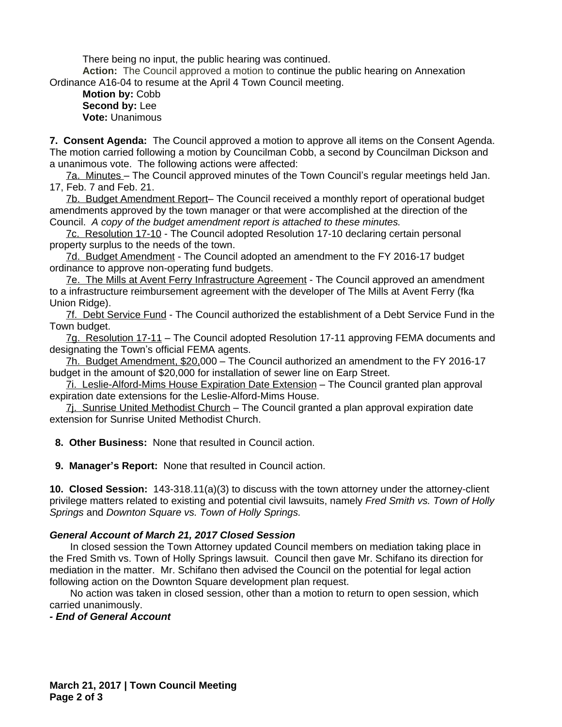There being no input, the public hearing was continued.

**Action:** The Council approved a motion to continue the public hearing on Annexation Ordinance A16-04 to resume at the April 4 Town Council meeting.

**Motion by:** Cobb **Second by:** Lee **Vote:** Unanimous

**7. Consent Agenda:** The Council approved a motion to approve all items on the Consent Agenda. The motion carried following a motion by Councilman Cobb, a second by Councilman Dickson and a unanimous vote. The following actions were affected:

7a. Minutes – The Council approved minutes of the Town Council's regular meetings held Jan. 17, Feb. 7 and Feb. 21.

7b. Budget Amendment Report– The Council received a monthly report of operational budget amendments approved by the town manager or that were accomplished at the direction of the Council. *A copy of the budget amendment report is attached to these minutes.*

7c. Resolution 17-10 - The Council adopted Resolution 17-10 declaring certain personal property surplus to the needs of the town.

7d. Budget Amendment - The Council adopted an amendment to the FY 2016-17 budget ordinance to approve non-operating fund budgets.

7e. The Mills at Avent Ferry Infrastructure Agreement - The Council approved an amendment to a infrastructure reimbursement agreement with the developer of The Mills at Avent Ferry (fka Union Ridge).

7f. Debt Service Fund - The Council authorized the establishment of a Debt Service Fund in the Town budget.

7g. Resolution 17-11 – The Council adopted Resolution 17-11 approving FEMA documents and designating the Town's official FEMA agents.

7h. Budget Amendment, \$20,000 – The Council authorized an amendment to the FY 2016-17 budget in the amount of \$20,000 for installation of sewer line on Earp Street.

7i. Leslie-Alford-Mims House Expiration Date Extension – The Council granted plan approval expiration date extensions for the Leslie-Alford-Mims House.

7j. Sunrise United Methodist Church – The Council granted a plan approval expiration date extension for Sunrise United Methodist Church.

 **8. Other Business:** None that resulted in Council action.

 **9. Manager's Report:** None that resulted in Council action.

**10. Closed Session:** 143-318.11(a)(3) to discuss with the town attorney under the attorney-client privilege matters related to existing and potential civil lawsuits, namely *Fred Smith vs. Town of Holly Springs* and *Downton Square vs. Town of Holly Springs.*

## *General Account of March 21, 2017 Closed Session*

In closed session the Town Attorney updated Council members on mediation taking place in the Fred Smith vs. Town of Holly Springs lawsuit. Council then gave Mr. Schifano its direction for mediation in the matter. Mr. Schifano then advised the Council on the potential for legal action following action on the Downton Square development plan request.

No action was taken in closed session, other than a motion to return to open session, which carried unanimously.

## *- End of General Account*